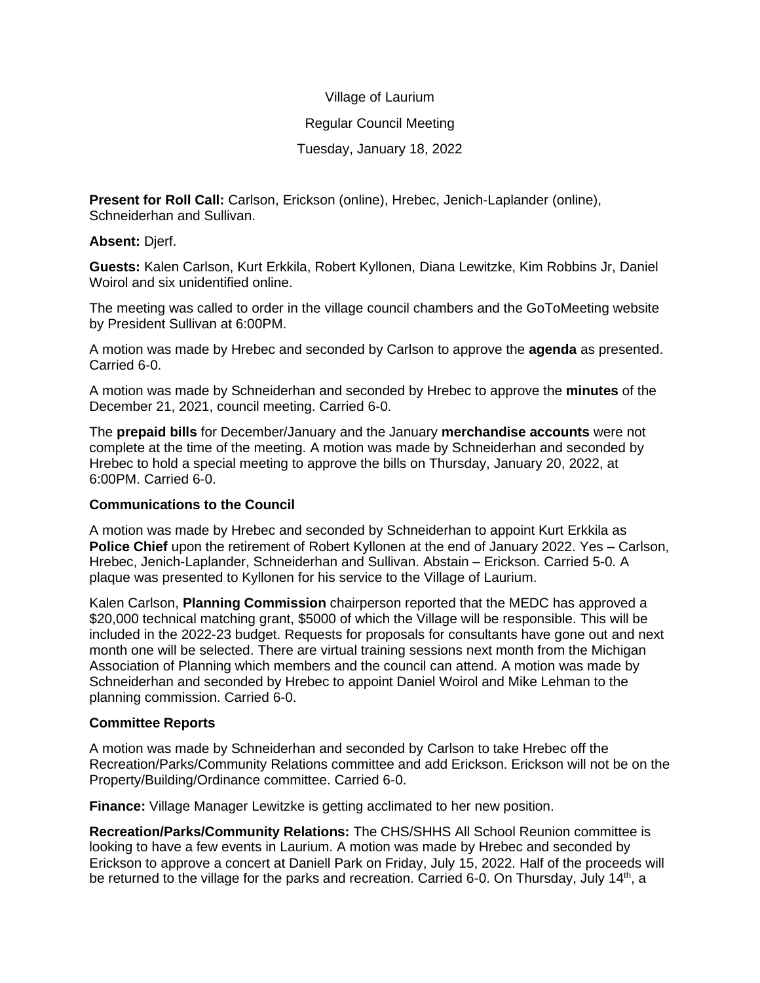### Village of Laurium

### Regular Council Meeting

# Tuesday, January 18, 2022

**Present for Roll Call:** Carlson, Erickson (online), Hrebec, Jenich-Laplander (online), Schneiderhan and Sullivan.

### **Absent:** Djerf.

**Guests:** Kalen Carlson, Kurt Erkkila, Robert Kyllonen, Diana Lewitzke, Kim Robbins Jr, Daniel Woirol and six unidentified online.

The meeting was called to order in the village council chambers and the GoToMeeting website by President Sullivan at 6:00PM.

A motion was made by Hrebec and seconded by Carlson to approve the **agenda** as presented. Carried 6-0.

A motion was made by Schneiderhan and seconded by Hrebec to approve the **minutes** of the December 21, 2021, council meeting. Carried 6-0.

The **prepaid bills** for December/January and the January **merchandise accounts** were not complete at the time of the meeting. A motion was made by Schneiderhan and seconded by Hrebec to hold a special meeting to approve the bills on Thursday, January 20, 2022, at 6:00PM. Carried 6-0.

# **Communications to the Council**

A motion was made by Hrebec and seconded by Schneiderhan to appoint Kurt Erkkila as **Police Chief** upon the retirement of Robert Kyllonen at the end of January 2022. Yes – Carlson, Hrebec, Jenich-Laplander, Schneiderhan and Sullivan. Abstain – Erickson. Carried 5-0. A plaque was presented to Kyllonen for his service to the Village of Laurium.

Kalen Carlson, **Planning Commission** chairperson reported that the MEDC has approved a \$20,000 technical matching grant, \$5000 of which the Village will be responsible. This will be included in the 2022-23 budget. Requests for proposals for consultants have gone out and next month one will be selected. There are virtual training sessions next month from the Michigan Association of Planning which members and the council can attend. A motion was made by Schneiderhan and seconded by Hrebec to appoint Daniel Woirol and Mike Lehman to the planning commission. Carried 6-0.

# **Committee Reports**

A motion was made by Schneiderhan and seconded by Carlson to take Hrebec off the Recreation/Parks/Community Relations committee and add Erickson. Erickson will not be on the Property/Building/Ordinance committee. Carried 6-0.

**Finance:** Village Manager Lewitzke is getting acclimated to her new position.

**Recreation/Parks/Community Relations:** The CHS/SHHS All School Reunion committee is looking to have a few events in Laurium. A motion was made by Hrebec and seconded by Erickson to approve a concert at Daniell Park on Friday, July 15, 2022. Half of the proceeds will be returned to the village for the parks and recreation. Carried 6-0. On Thursday, July  $14<sup>th</sup>$ , a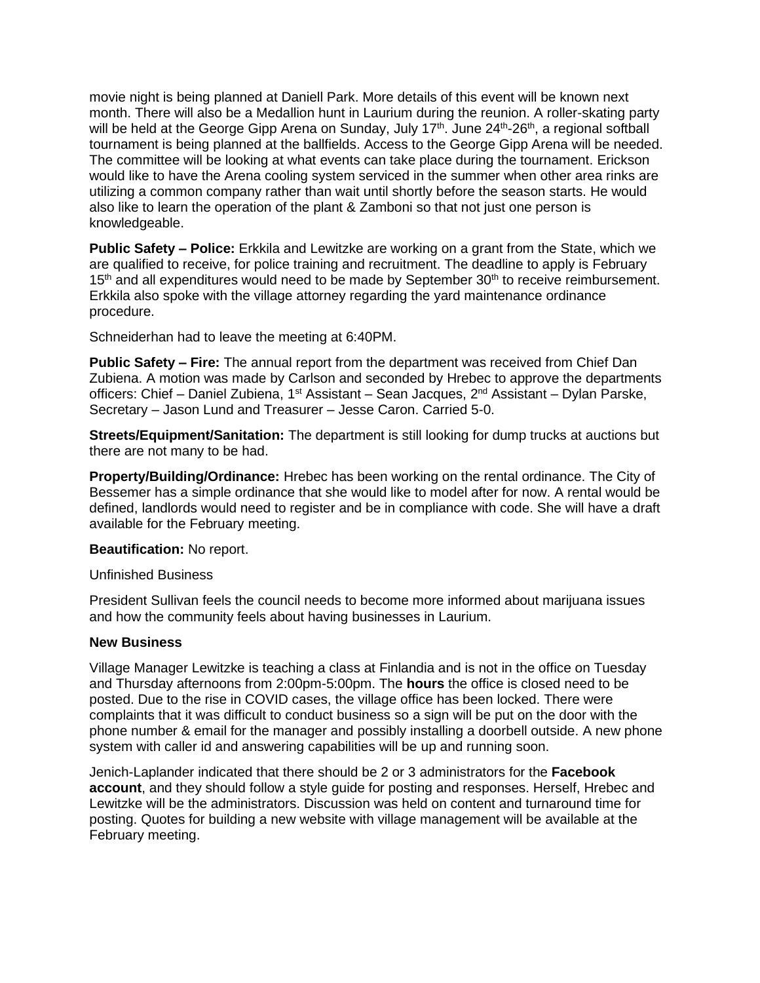movie night is being planned at Daniell Park. More details of this event will be known next month. There will also be a Medallion hunt in Laurium during the reunion. A roller-skating party will be held at the George Gipp Arena on Sunday, July 17<sup>th</sup>. June 24<sup>th</sup>-26<sup>th</sup>, a regional softball tournament is being planned at the ballfields. Access to the George Gipp Arena will be needed. The committee will be looking at what events can take place during the tournament. Erickson would like to have the Arena cooling system serviced in the summer when other area rinks are utilizing a common company rather than wait until shortly before the season starts. He would also like to learn the operation of the plant & Zamboni so that not just one person is knowledgeable.

**Public Safety – Police:** Erkkila and Lewitzke are working on a grant from the State, which we are qualified to receive, for police training and recruitment. The deadline to apply is February 15<sup>th</sup> and all expenditures would need to be made by September 30<sup>th</sup> to receive reimbursement. Erkkila also spoke with the village attorney regarding the yard maintenance ordinance procedure.

Schneiderhan had to leave the meeting at 6:40PM.

**Public Safety – Fire:** The annual report from the department was received from Chief Dan Zubiena. A motion was made by Carlson and seconded by Hrebec to approve the departments officers: Chief – Daniel Zubiena, 1<sup>st</sup> Assistant – Sean Jacques, 2<sup>nd</sup> Assistant – Dylan Parske, Secretary – Jason Lund and Treasurer – Jesse Caron. Carried 5-0.

**Streets/Equipment/Sanitation:** The department is still looking for dump trucks at auctions but there are not many to be had.

**Property/Building/Ordinance:** Hrebec has been working on the rental ordinance. The City of Bessemer has a simple ordinance that she would like to model after for now. A rental would be defined, landlords would need to register and be in compliance with code. She will have a draft available for the February meeting.

**Beautification:** No report.

Unfinished Business

President Sullivan feels the council needs to become more informed about marijuana issues and how the community feels about having businesses in Laurium.

#### **New Business**

Village Manager Lewitzke is teaching a class at Finlandia and is not in the office on Tuesday and Thursday afternoons from 2:00pm-5:00pm. The **hours** the office is closed need to be posted. Due to the rise in COVID cases, the village office has been locked. There were complaints that it was difficult to conduct business so a sign will be put on the door with the phone number & email for the manager and possibly installing a doorbell outside. A new phone system with caller id and answering capabilities will be up and running soon.

Jenich-Laplander indicated that there should be 2 or 3 administrators for the **Facebook account**, and they should follow a style guide for posting and responses. Herself, Hrebec and Lewitzke will be the administrators. Discussion was held on content and turnaround time for posting. Quotes for building a new website with village management will be available at the February meeting.